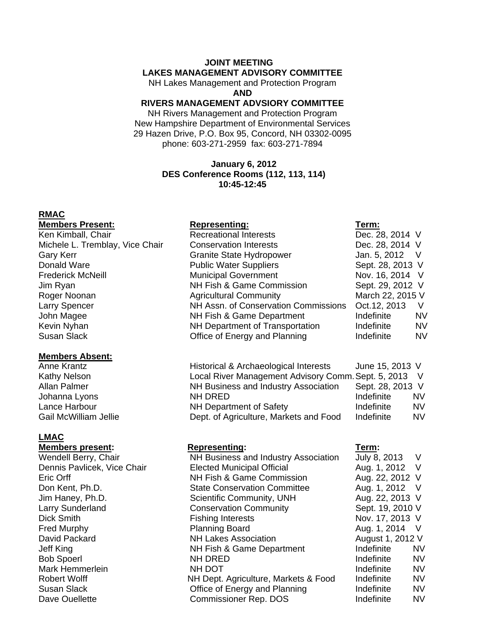# **JOINT MEETING**

### **LAKES MANAGEMENT ADVISORY COMMITTEE**

NH Lakes Management and Protection Program **AND** 

# **RIVERS MANAGEMENT ADVSIORY COMMITTEE**

NH Rivers Management and Protection Program New Hampshire Department of Environmental Services 29 Hazen Drive, P.O. Box 95, Concord, NH 03302-0095 phone: 603-271-2959 fax: 603-271-7894

### **January 6, 2012 DES Conference Rooms (112, 113, 114) 10:45-12:45**

### **RMAC**

### **Members Present: Term: Representing: Term: Term:**

### **Members Absent:**

Anne Krantz Kathy Nelson Allan Palmer Johanna Lyons Lance Harbour Gail McWilliam Jellie

### **LMAC**

### **Members present:** Representing: Term: **Term: Representing:**

| Ken Kimball, Chair              | <b>Recreational Interests</b>        | Dec. 28, 2014 V  |           |
|---------------------------------|--------------------------------------|------------------|-----------|
| Michele L. Tremblay, Vice Chair | <b>Conservation Interests</b>        | Dec. 28, 2014 V  |           |
| Gary Kerr                       | Granite State Hydropower             | Jan. 5, 2012 V   |           |
| Donald Ware                     | <b>Public Water Suppliers</b>        | Sept. 28, 2013 V |           |
| <b>Frederick McNeill</b>        | <b>Municipal Government</b>          | Nov. 16, 2014 V  |           |
| Jim Ryan                        | NH Fish & Game Commission            | Sept. 29, 2012 V |           |
| Roger Noonan                    | <b>Agricultural Community</b>        | March 22, 2015 V |           |
| <b>Larry Spencer</b>            | NH Assn. of Conservation Commissions | Oct. 12, 2013    | V         |
| John Magee                      | NH Fish & Game Department            | Indefinite       | <b>NV</b> |
| Kevin Nyhan                     | NH Department of Transportation      | Indefinite       | <b>NV</b> |
| Susan Slack                     | Office of Energy and Planning        | Indefinite       | <b>NV</b> |
|                                 |                                      |                  |           |

| Historical & Archaeological Interests               | June 15, 2013 V  |    |
|-----------------------------------------------------|------------------|----|
| Local River Management Advisory Comm. Sept. 5, 2013 |                  |    |
| NH Business and Industry Association                | Sept. 28, 2013 V |    |
| NH DRED                                             | Indefinite       | NV |
| <b>NH Department of Safety</b>                      | Indefinite       | N٧ |
| Dept. of Agriculture, Markets and Food              | Indefinite       | N٧ |

| Wendell Berry, Chair        | NH Business and Industry Association | July 8, 2013     | $\vee$    |
|-----------------------------|--------------------------------------|------------------|-----------|
| Dennis Pavlicek, Vice Chair | <b>Elected Municipal Official</b>    | Aug. 1, 2012 V   |           |
| Eric Orff                   | NH Fish & Game Commission            | Aug. 22, 2012 V  |           |
| Don Kent, Ph.D.             | <b>State Conservation Committee</b>  | Aug. 1, 2012 V   |           |
| Jim Haney, Ph.D.            | Scientific Community, UNH            | Aug. 22, 2013 V  |           |
| Larry Sunderland            | <b>Conservation Community</b>        | Sept. 19, 2010 V |           |
| Dick Smith                  | <b>Fishing Interests</b>             | Nov. 17, 2013 V  |           |
| Fred Murphy                 | <b>Planning Board</b>                | Aug. 1, 2014 V   |           |
| David Packard               | <b>NH Lakes Association</b>          | August 1, 2012 V |           |
| Jeff King                   | NH Fish & Game Department            | Indefinite       | <b>NV</b> |
| <b>Bob Spoerl</b>           | NH DRED                              | Indefinite       | <b>NV</b> |
| Mark Hemmerlein             | NH DOT                               | Indefinite       | <b>NV</b> |
| Robert Wolff                | NH Dept. Agriculture, Markets & Food | Indefinite       | <b>NV</b> |
| Susan Slack                 | Office of Energy and Planning        | Indefinite       | <b>NV</b> |
| Dave Ouellette              | <b>Commissioner Rep. DOS</b>         | Indefinite       | <b>NV</b> |
|                             |                                      |                  |           |

| July 8, 2013     | V  |
|------------------|----|
| Aug. 1, 2012     | V  |
| Aug. 22, 2012    | V  |
| Aug. 1, 2012     | V  |
| Aug. 22, 2013    | V  |
| Sept. 19, 2010 V |    |
| Nov. 17, 2013    | V  |
| Aug. 1, 2014     | V  |
| August 1, 2012 V |    |
| Indefinite       | N٧ |
| Indefinite       | N٧ |
| Indefinite       | N٧ |
| Indefinite       | N٧ |
| Indefinite       | N٧ |
| Indefinite       | N۷ |
|                  |    |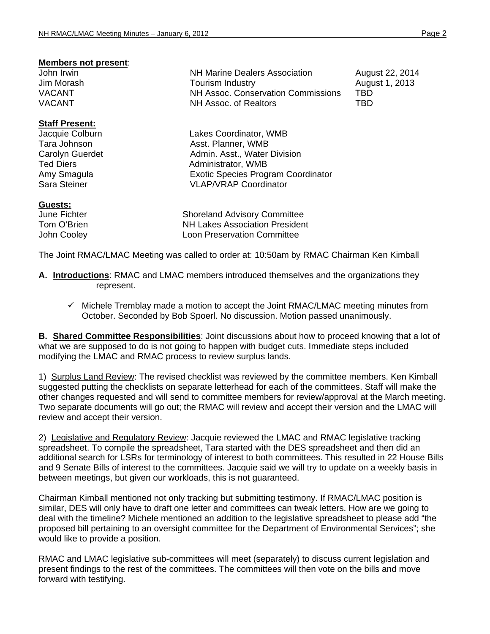### **Members not present**:

### **Staff Present:**

### **Guests:**

**June Fichter Shoreland Advisory Committee** Tom O'Brien NH Lakes Association President<br>
John Cooley Cooley Coon Preservation Committee Loon Preservation Committee

The Joint RMAC/LMAC Meeting was called to order at: 10:50am by RMAC Chairman Ken Kimball

- **A. Introductions**: RMAC and LMAC members introduced themselves and the organizations they represent.
	- $\checkmark$  Michele Tremblay made a motion to accept the Joint RMAC/LMAC meeting minutes from October. Seconded by Bob Spoerl. No discussion. Motion passed unanimously.

**B. Shared Committee Responsibilities**: Joint discussions about how to proceed knowing that a lot of what we are supposed to do is not going to happen with budget cuts. Immediate steps included modifying the LMAC and RMAC process to review surplus lands.

1) Surplus Land Review: The revised checklist was reviewed by the committee members. Ken Kimball suggested putting the checklists on separate letterhead for each of the committees. Staff will make the other changes requested and will send to committee members for review/approval at the March meeting. Two separate documents will go out; the RMAC will review and accept their version and the LMAC will review and accept their version.

2) Legislative and Regulatory Review: Jacquie reviewed the LMAC and RMAC legislative tracking spreadsheet. To compile the spreadsheet, Tara started with the DES spreadsheet and then did an additional search for LSRs for terminology of interest to both committees. This resulted in 22 House Bills and 9 Senate Bills of interest to the committees. Jacquie said we will try to update on a weekly basis in between meetings, but given our workloads, this is not guaranteed.

Chairman Kimball mentioned not only tracking but submitting testimony. If RMAC/LMAC position is similar, DES will only have to draft one letter and committees can tweak letters. How are we going to deal with the timeline? Michele mentioned an addition to the legislative spreadsheet to please add "the proposed bill pertaining to an oversight committee for the Department of Environmental Services"; she would like to provide a position.

RMAC and LMAC legislative sub-committees will meet (separately) to discuss current legislation and present findings to the rest of the committees. The committees will then vote on the bills and move forward with testifying.

John Irwin NH Marine Dealers Association August 22, 2014 Jim Morash **Tourism Industry Tourism Industry** August 1, 2013<br>VACANT VACANT NH Assoc. Conservation Commissions VACANT TBD **NH Assoc. of Realtors** TBD

Jacquie Colburn Lakes Coordinator, WMB Tara Johnson **Asst. Planner**, WMB Carolyn Guerdet **Admin.** Asst., Water Division Ted Diers **Administrator**, WMB Amy Smagula Exotic Species Program Coordinator Sara Steiner VLAP/VRAP Coordinator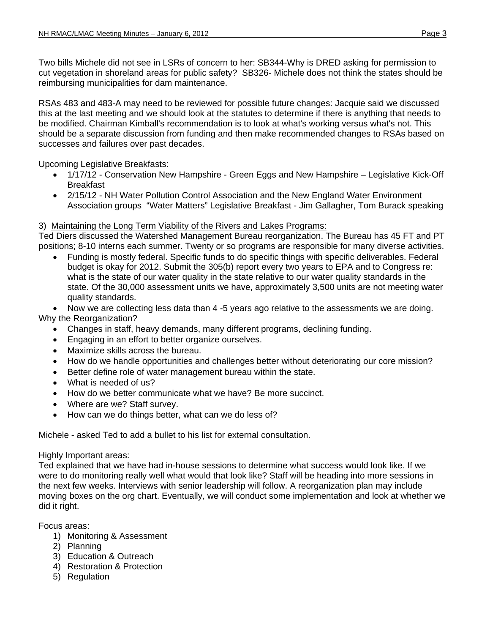Two bills Michele did not see in LSRs of concern to her: SB344-Why is DRED asking for permission to cut vegetation in shoreland areas for public safety? SB326- Michele does not think the states should be reimbursing municipalities for dam maintenance.

RSAs 483 and 483-A may need to be reviewed for possible future changes: Jacquie said we discussed this at the last meeting and we should look at the statutes to determine if there is anything that needs to be modified. Chairman Kimball's recommendation is to look at what's working versus what's not. This should be a separate discussion from funding and then make recommended changes to RSAs based on successes and failures over past decades.

Upcoming Legislative Breakfasts:

- 1/17/12 Conservation New Hampshire Green Eggs and New Hampshire Legislative Kick-Off Breakfast
- 2/15/12 NH Water Pollution Control Association and the New England Water Environment Association groups "Water Matters" Legislative Breakfast - Jim Gallagher, Tom Burack speaking

## 3) Maintaining the Long Term Viability of the Rivers and Lakes Programs:

Ted Diers discussed the Watershed Management Bureau reorganization. The Bureau has 45 FT and PT positions; 8-10 interns each summer. Twenty or so programs are responsible for many diverse activities.

• Funding is mostly federal. Specific funds to do specific things with specific deliverables. Federal budget is okay for 2012. Submit the 305(b) report every two years to EPA and to Congress re: what is the state of our water quality in the state relative to our water quality standards in the state. Of the 30,000 assessment units we have, approximately 3,500 units are not meeting water quality standards.

• Now we are collecting less data than 4 -5 years ago relative to the assessments we are doing. Why the Reorganization?

- Changes in staff, heavy demands, many different programs, declining funding.
- Engaging in an effort to better organize ourselves.
- Maximize skills across the bureau.
- How do we handle opportunities and challenges better without deteriorating our core mission?
- Better define role of water management bureau within the state.
- What is needed of us?
- How do we better communicate what we have? Be more succinct.
- Where are we? Staff survey.
- How can we do things better, what can we do less of?

Michele - asked Ted to add a bullet to his list for external consultation.

## Highly Important areas:

Ted explained that we have had in-house sessions to determine what success would look like. If we were to do monitoring really well what would that look like? Staff will be heading into more sessions in the next few weeks. Interviews with senior leadership will follow. A reorganization plan may include moving boxes on the org chart. Eventually, we will conduct some implementation and look at whether we did it right.

Focus areas:

- 1) Monitoring & Assessment
- 2) Planning
- 3) Education & Outreach
- 4) Restoration & Protection
- 5) Regulation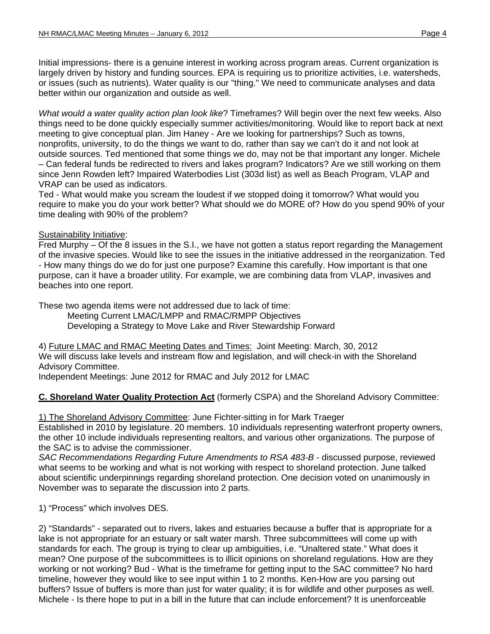Initial impressions- there is a genuine interest in working across program areas. Current organization is largely driven by history and funding sources. EPA is requiring us to prioritize activities, i.e. watersheds, or issues (such as nutrients). Water quality is our "thing." We need to communicate analyses and data better within our organization and outside as well.

*What would a water quality action plan look like*? Timeframes? Will begin over the next few weeks. Also things need to be done quickly especially summer activities/monitoring. Would like to report back at next meeting to give conceptual plan. Jim Haney - Are we looking for partnerships? Such as towns, nonprofits, university, to do the things we want to do, rather than say we can't do it and not look at outside sources. Ted mentioned that some things we do, may not be that important any longer. Michele – Can federal funds be redirected to rivers and lakes program? Indicators? Are we still working on them since Jenn Rowden left? Impaired Waterbodies List (303d list) as well as Beach Program, VLAP and VRAP can be used as indicators.

Ted - What would make you scream the loudest if we stopped doing it tomorrow? What would you require to make you do your work better? What should we do MORE of? How do you spend 90% of your time dealing with 90% of the problem?

## Sustainability Initiative:

Fred Murphy – Of the 8 issues in the S.I., we have not gotten a status report regarding the Management of the invasive species. Would like to see the issues in the initiative addressed in the reorganization. Ted - How many things do we do for just one purpose? Examine this carefully. How important is that one purpose, can it have a broader utility. For example, we are combining data from VLAP, invasives and beaches into one report.

These two agenda items were not addressed due to lack of time:

Meeting Current LMAC/LMPP and RMAC/RMPP Objectives

Developing a Strategy to Move Lake and River Stewardship Forward

4) Future LMAC and RMAC Meeting Dates and Times: Joint Meeting: March, 30, 2012 We will discuss lake levels and instream flow and legislation, and will check-in with the Shoreland Advisory Committee.

Independent Meetings: June 2012 for RMAC and July 2012 for LMAC

# **C. Shoreland Water Quality Protection Act** (formerly CSPA) and the Shoreland Advisory Committee:

1) The Shoreland Advisory Committee: June Fichter-sitting in for Mark Traeger Established in 2010 by legislature. 20 members. 10 individuals representing waterfront property owners, the other 10 include individuals representing realtors, and various other organizations. The purpose of the SAC is to advise the commissioner.

SAC Recommendations Regarding Future Amendments to RSA 483-B - discussed purpose, reviewed what seems to be working and what is not working with respect to shoreland protection. June talked about scientific underpinnings regarding shoreland protection. One decision voted on unanimously in November was to separate the discussion into 2 parts.

1) "Process" which involves DES.

2) "Standards" - separated out to rivers, lakes and estuaries because a buffer that is appropriate for a lake is not appropriate for an estuary or salt water marsh. Three subcommittees will come up with standards for each. The group is trying to clear up ambiguities, i.e. "Unaltered state." What does it mean? One purpose of the subcommittees is to illicit opinions on shoreland regulations. How are they working or not working? Bud - What is the timeframe for getting input to the SAC committee? No hard timeline, however they would like to see input within 1 to 2 months. Ken-How are you parsing out buffers? Issue of buffers is more than just for water quality; it is for wildlife and other purposes as well. Michele - Is there hope to put in a bill in the future that can include enforcement? It is unenforceable